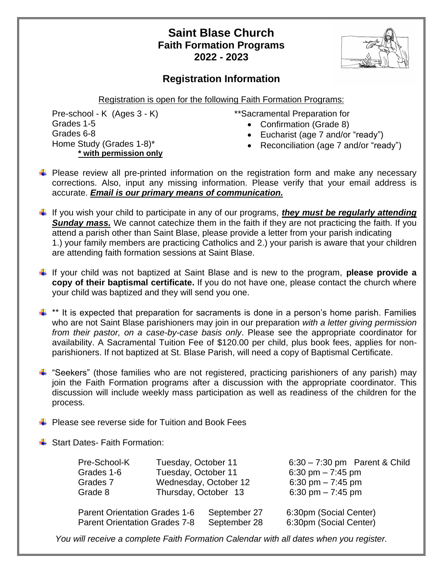## **Saint Blase Church Faith Formation Programs 2022 - 2023**

## **Registration Information**

Registration is open for the following Faith Formation Programs:

Pre-school - K (Ages 3 - K) Grades 1-5 Grades 6-8 Home Study (Grades 1-8)\* **\* with permission only**

- \*\*Sacramental Preparation for
	- Confirmation (Grade 8)
	- Eucharist (age 7 and/or "ready")
	- Reconciliation (age 7 and/or "ready")
- $\ddot{+}$  Please review all pre-printed information on the registration form and make any necessary corrections. Also, input any missing information. Please verify that your email address is accurate. *Email is our primary means of communication.*
- If you wish your child to participate in any of our programs, *they must be regularly attending*  **Sunday mass.** We cannot catechize them in the faith if they are not practicing the faith. If you attend a parish other than Saint Blase, please provide a letter from your parish indicating 1.) your family members are practicing Catholics and 2.) your parish is aware that your children are attending faith formation sessions at Saint Blase.
- If your child was not baptized at Saint Blase and is new to the program, **please provide a copy of their baptismal certificate.** If you do not have one, please contact the church where your child was baptized and they will send you one.

 $\ddot{\phantom{1}}$  \*\* It is expected that preparation for sacraments is done in a person's home parish. Families who are not Saint Blase parishioners may join in our preparation *with a letter giving permission from their pastor, on a case-by-case basis only*. Please see the appropriate coordinator for availability. A Sacramental Tuition Fee of \$120.00 per child, plus book fees, applies for nonparishioners. If not baptized at St. Blase Parish, will need a copy of Baptismal Certificate.

- $\ddot{+}$  "Seekers" (those families who are not registered, practicing parishioners of any parish) may join the Faith Formation programs after a discussion with the appropriate coordinator. This discussion will include weekly mass participation as well as readiness of the children for the process.
- $\bigstar$  Please see reverse side for Tuition and Book Fees
- **↓ Start Dates- Faith Formation:**

| Pre-School-K                         | Tuesday, October 11  |                       | $6:30 - 7:30$ pm Parent & Child |
|--------------------------------------|----------------------|-----------------------|---------------------------------|
| Grades 1-6                           | Tuesday, October 11  |                       | 6:30 pm $- 7:45$ pm             |
| Grades 7                             |                      | Wednesday, October 12 | 6:30 pm $- 7:45$ pm             |
| Grade 8                              | Thursday, October 13 |                       | 6:30 pm $- 7:45$ pm             |
| <b>Parent Orientation Grades 1-6</b> |                      | September 27          | 6:30pm (Social Center)          |
| <b>Parent Orientation Grades 7-8</b> |                      | September 28          | 6:30pm (Social Center)          |
|                                      |                      |                       |                                 |

*You will receive a complete Faith Formation Calendar with all dates when you register.*